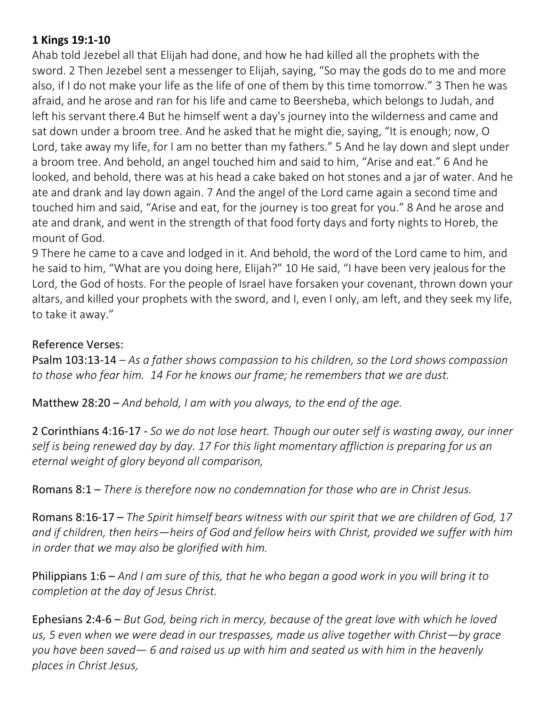## **1 Kings 19:1-10**

Ahab told Jezebel all that Elijah had done, and how he had killed all the prophets with the sword. 2 Then Jezebel sent a messenger to Elijah, saying, "So may the gods do to me and more also, if I do not make your life as the life of one of them by this time tomorrow." 3 Then he was afraid, and he arose and ran for his life and came to Beersheba, which belongs to Judah, and left his servant there.4 But he himself went a day's journey into the wilderness and came and sat down under a broom tree. And he asked that he might die, saying, "It is enough; now, O Lord, take away my life, for I am no better than my fathers." 5 And he lay down and slept under a broom tree. And behold, an angel touched him and said to him, "Arise and eat." 6 And he looked, and behold, there was at his head a cake baked on hot stones and a jar of water. And he ate and drank and lay down again. 7 And the angel of the Lord came again a second time and touched him and said, "Arise and eat, for the journey is too great for you." 8 And he arose and ate and drank, and went in the strength of that food forty days and forty nights to Horeb, the mount of God.

9 There he came to a cave and lodged in it. And behold, the word of the Lord came to him, and he said to him, "What are you doing here, Elijah?" 10 He said, "I have been very jealous for the Lord, the God of hosts. For the people of Israel have forsaken your covenant, thrown down your altars, and killed your prophets with the sword, and I, even I only, am left, and they seek my life, to take it away."

## Reference Verses:

Psalm 103:13-14 *– As a father shows compassion to his children, so the Lord shows compassion to those who fear him. 14 For he knows our frame; he remembers that we are dust.*

Matthew 28:20 – *And behold, I am with you always, to the end of the age.*

2 Corinthians 4:16-17 - *So we do not lose heart. Though our outer self is wasting away, our inner self is being renewed day by day. 17 For this light momentary affliction is preparing for us an eternal weight of glory beyond all comparison,*

Romans 8:1 – *There is therefore now no condemnation for those who are in Christ Jesus.*

Romans 8:16-17 – *The Spirit himself bears witness with our spirit that we are children of God, 17 and if children, then heirs—heirs of God and fellow heirs with Christ, provided we suffer with him in order that we may also be glorified with him.*

Philippians 1:6 – *And I am sure of this, that he who began a good work in you will bring it to completion at the day of Jesus Christ.*

Ephesians 2:4-6 – *But God, being rich in mercy, because of the great love with which he loved us, 5 even when we were dead in our trespasses, made us alive together with Christ—by grace you have been saved— 6 and raised us up with him and seated us with him in the heavenly places in Christ Jesus,*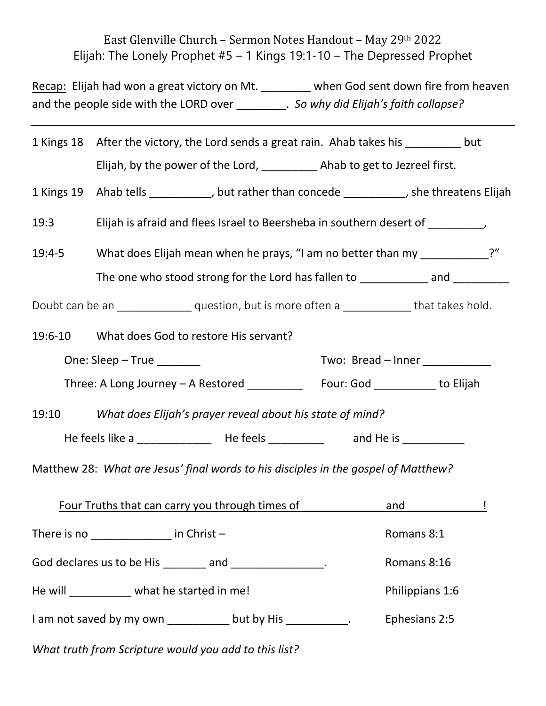## East Glenville Church – Sermon Notes Handout – May 29th 2022 Elijah: The Lonely Prophet #5 – 1 Kings 19:1-10 – The Depressed Prophet

Recap: Elijah had won a great victory on Mt. \_\_\_\_\_\_\_\_ when God sent down fire from heaven and the people side with the LORD over \_\_\_\_\_\_\_\_. *So why did Elijah's faith collapse?*

|                                                                                                  | 1 Kings 18 After the victory, the Lord sends a great rain. Ahab takes his _______ but                                                                          |  |  |                 |  |  |
|--------------------------------------------------------------------------------------------------|----------------------------------------------------------------------------------------------------------------------------------------------------------------|--|--|-----------------|--|--|
|                                                                                                  | Elijah, by the power of the Lord, ____________ Ahab to get to Jezreel first.                                                                                   |  |  |                 |  |  |
|                                                                                                  | 1 Kings 19 Ahab tells ___________, but rather than concede __________, she threatens Elijah                                                                    |  |  |                 |  |  |
| 19:3                                                                                             | Elijah is afraid and flees Israel to Beersheba in southern desert of __________,                                                                               |  |  |                 |  |  |
| $19:4-5$                                                                                         | What does Elijah mean when he prays, "I am no better than my ___________?"<br>The one who stood strong for the Lord has fallen to _____________ and __________ |  |  |                 |  |  |
|                                                                                                  |                                                                                                                                                                |  |  |                 |  |  |
| Doubt can be an _________________ question, but is more often a _______________ that takes hold. |                                                                                                                                                                |  |  |                 |  |  |
|                                                                                                  | 19:6-10 What does God to restore His servant?                                                                                                                  |  |  |                 |  |  |
| Two: Bread - Inner ____________<br>One: $Sleep - True$ ________                                  |                                                                                                                                                                |  |  |                 |  |  |
|                                                                                                  | Three: A Long Journey - A Restored ____________ Four: God __________ to Elijah                                                                                 |  |  |                 |  |  |
|                                                                                                  | 19:10 What does Elijah's prayer reveal about his state of mind?                                                                                                |  |  |                 |  |  |
|                                                                                                  |                                                                                                                                                                |  |  |                 |  |  |
|                                                                                                  | Matthew 28: What are Jesus' final words to his disciples in the gospel of Matthew?                                                                             |  |  |                 |  |  |
|                                                                                                  | <b>Four Truths that can carry you through times of</b>                                                                                                         |  |  | and l           |  |  |
| There is no $\sqrt{ }$ in Christ $-$                                                             |                                                                                                                                                                |  |  | Romans 8:1      |  |  |
| God declares us to be His ________ and _______________.                                          |                                                                                                                                                                |  |  | Romans 8:16     |  |  |
| He will __________ what he started in me!                                                        |                                                                                                                                                                |  |  | Philippians 1:6 |  |  |
|                                                                                                  | I am not saved by my own ____________ but by His ___________.                                                                                                  |  |  | Ephesians 2:5   |  |  |
|                                                                                                  | What truth from Scripture would you add to this list?                                                                                                          |  |  |                 |  |  |